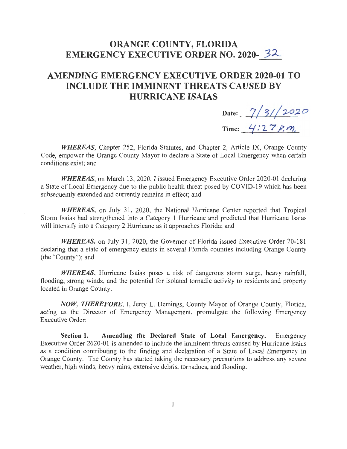## **ORANGE COUNTY, FLORIDA**  EMERGENCY EXECUTIVE ORDER NO. 2020- 32

## **AMENDING EMERGENCY EXECUTIVE ORDER 2020-01 TO INCLUDE THE IMMINENT THREATS CAUSED BY HURRICANE ISAIAS**

Date: 7/3//2020

Time: *4*:27 *P*, *m*,

*WHEREAS,* Chapter 252, Florida Statutes, and Chapter 2, Article IX, Orange County Code, empower the Orange County Mayor to declare a State of Local Emergency when certain conditions exist; and

*WHEREAS,* on March 13, 2020, I issued Emergency Executive Order 2020-01 declaring a State of Local Emergency due to the public health threat posed by COVID-19 which has been subsequently extended and currently remains in effect; and

*WHEREAS*, on July 31, 2020, the National Hurricane Center reported that Tropical Storm Isaias had strengthened into a Category 1 Hurricane and predicted that Hurricane Isaias will intensify into a Category 2 Hurricane as it approaches Florida; and

*WHEREAS*, on July 31, 2020, the Governor of Florida issued Executive Order 20-181 declaring that a state of emergency exists in several Florida counties including Orange County (the "County"); and

*WHEREAS,* Hurricane Isaias poses a risk of dangerous storm surge, heavy rainfall, flooding, strong winds, and the potential for isolated tomadic activity to residents and property located in Orange County.

*NOW, THEREFORE,* I, Jerry L. Demings, County Mayor of Orange County, Florida, acting as the Director of Emergency Management, promulgate the following Emergency Executive Order:

**Section 1. Amending the Declared State of Local Emergency.** Emergency Executive Order 2020-01 is amended to include the imminent threats caused by Hurricane Isaias as a condition contributing to the finding and declaration of a State of Local Emergency in Orange County. The County has started taking the necessary precautions to address any severe weather, high winds, heavy rains, extensive debris, tornadoes, and flooding.